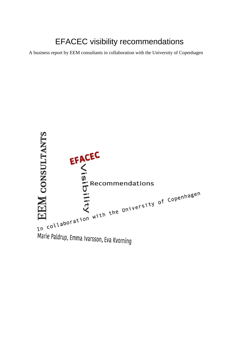# EFACEC visibility recommendations

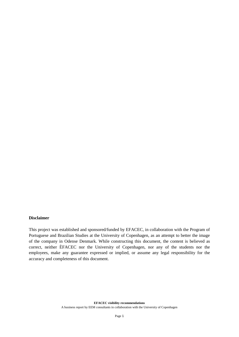### **Disclaimer**

This project was established and sponsored/funded by EFACEC, in collaboration with the Program of Portuguese and Brazilian Studies at the University of Copenhagen, as an attempt to better the image of the company in Odense Denmark. While constructing this document, the content is believed as correct, neither ÈFACEC nor the University of Copenhagen, nor any of the students nor the employees, make any guarantee expressed or implied, or assume any legal responsibility for the accuracy and completeness of this document.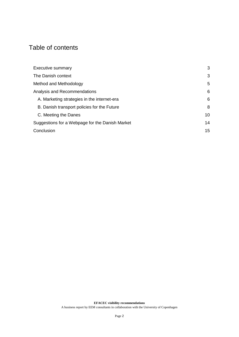# Table of contents

| <b>Executive summary</b>                        | 3  |
|-------------------------------------------------|----|
| The Danish context                              | 3  |
| Method and Methodology                          | 5  |
| Analysis and Recommendations                    | 6  |
| A. Marketing strategies in the internet-era     | 6  |
| B. Danish transport policies for the Future     | 8  |
| C. Meeting the Danes                            | 10 |
| Suggestions for a Webpage for the Danish Market | 14 |
| Conclusion                                      | 15 |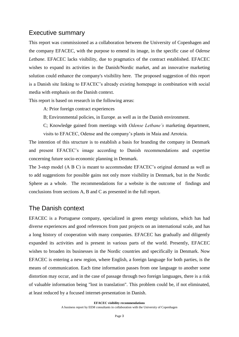### <span id="page-3-0"></span>Executive summary

This report was commissioned as a collaboration between the University of Copenhagen and the company EFACEC, with the purpose to emend its image, in the specific case of *Odense Letbane*. EFACEC lacks visibility, due to pragmatics of the contract established. EFACEC wishes to expand its activities in the Danish/Nordic market, and an innovative marketing solution could enhance the company's visibility here. The proposed suggestion of this report is a Danish site linking to EFACEC's already existing homepage in combination with social media with emphasis on the Danish context.

This report is based on research in the following areas:

A: Prior foreign contract experiences

B; Environmental policies, in Europe, as well as in the Danish environment.

C; Knowledge gained from meetings with *Odense Letbane's* marketing department, visits to EFACEC, Odense and the company's plants in Maia and Arroteia.

The intention of this structure is to establish a basis for branding the company in Denmark and present EFACEC's image according to Danish recommendations and expertise concerning future socio-economic planning in Denmark.

The 3-step model (A B C) is meant to accommodate EFACEC's original demand as well as to add suggestions for possible gains not only more visibility in Denmark, but in the Nordic Sphere as a whole. The recommendations for a website is the outcome of findings and conclusions from sections A, B and C as presented in the full report.

# <span id="page-3-1"></span>The Danish context

EFACEC is a Portuguese company, specialized in green energy solutions, which has had diverse experiences and good references from past projects on an international scale, and has a long history of cooperation with many companies. EFACEC has gradually and diligently expanded its activities and is present in various parts of the world. Presently, EFACEC wishes to broaden its businesses in the Nordic countries and specifically in Denmark. Now EFACEC is entering a new region, where English, a foreign language for both parties, is the means of communication. Each time information passes from one language to another some distortion may occur, and in the case of passage through two foreign languages, there is a risk of valuable information being "lost in translation". This problem could be, if not eliminated, at least reduced by a focused internet-presentation in Danish.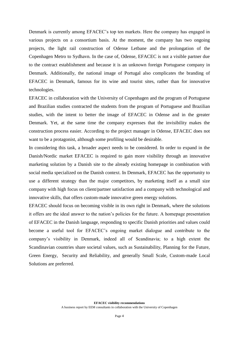Denmark is currently among EFACEC's top ten markets. Here the company has engaged in various projects on a consortium basis. At the moment, the company has two ongoing projects, the light rail construction of Odense Letbane and the prolongation of the Copenhagen Metro to Sydhavn. In the case of, Odense, EFACEC is not a visible partner due to the contract establishment and because it is an unknown foreign Portuguese company in Denmark. Additionally, the national image of Portugal also complicates the branding of EFACEC in Denmark, famous for its wine and tourist sites, rather than for innovative technologies.

EFACEC in collaboration with the University of Copenhagen and the program of Portuguese and Brazilian studies contracted the students from the program of Portuguese and Brazilian studies, with the intent to better the image of EFACEC in Odense and in the greater Denmark. Yet, at the same time the company expresses that the invisibility makes the construction process easier. According to the project manager in Odense, EFACEC does not want to be a protagonist, although some profiling would be desirable.

In considering this task, a broader aspect needs to be considered. In order to expand in the Danish/Nordic market EFACEC is required to gain more visibility through an innovative marketing solution by a Danish site to the already existing homepage in combination with social media specialized on the Danish context. In Denmark, EFACEC has the opportunity to use a different strategy than the major competitors, by marketing itself as a small size company with high focus on client/partner satisfaction and a company with technological and innovative skills, that offers custom-made innovative green energy solutions.

EFACEC should focus on becoming visible in its own right in Denmark, where the solutions it offers are the ideal answer to the nation's policies for the future. A homepage presentation of EFACEC in the Danish language, responding to specific Danish priorities and values could become a useful tool for EFACEC's ongoing market dialogue and contribute to the company's visibility in Denmark, indeed all of Scandinavia; to a high extent the Scandinavian countries share societal values, such as Sustainability, Planning for the Future, Green Energy, Security and Reliability, and generally Small Scale, Custom-made Local Solutions are preferred.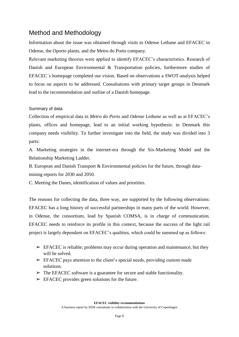# <span id="page-5-0"></span>Method and Methodology

Information about the issue was obtained through visits to Odense Letbane and EFACEC in Odense, the Oporto plants, and the Metro do Porto company.

Relevant marketing theories were applied to identify EFACEC's characteristics. Research of Danish and European Environmental & Transportation policies, furthermore studies of EFACEC´s homepage completed our vision. Based on observations a SWOT-analysis helped to focus on aspects to be addressed. Consultations with primary target groups in Denmark lead to the recommendation and outline of a Danish homepage.

### Summary of data

Collection of empirical data in *Metro do Porto* and *Odense Letbane* as well as at EFACEC's plants, offices and homepage, lead to an initial working hypothesis: in Denmark this company needs visibility. To further investigate into the field, the study was divided into 3 parts:

A. Marketing strategies in the internet-era through the Six-Marketing Model and the Relationship Marketing Ladder.

B. European and Danish Transport & Environmental policies for the future, through data-

mining reports for 2030 and 2050.

C. Meeting the Danes, identification of values and priorities.

The reasons for collecting the data, three way, are supported by the following observations: EFACEC has a long history of successful partnerships in many parts of the world. However, in Odense, the consortium, lead by Spanish COMSA, is in charge of communication. EFACEC needs to reinforce its profile in this context, because the success of the light rail project is largely dependent on EFACEC's qualities, which could be summed up as follows:

- $\triangleright$  EFACEC is reliable; problems may occur during operation and maintenance, but they will be solved.
- $\triangleright$  EFACEC pays attention to the client's special needs, providing custom made solutions.
- $\triangleright$  The EFACEC software is a guarantee for secure and stable functionality.
- $\triangleright$  EFACEC provides green solutions for the future.

**EFACEC visibility recommendations**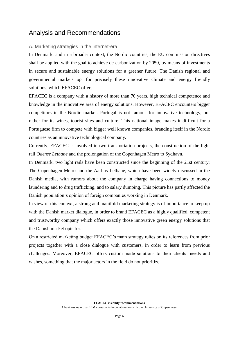## <span id="page-6-0"></span>Analysis and Recommendations

### <span id="page-6-1"></span>A. Marketing strategies in the internet-era

In Denmark, and in a broader context, the Nordic countries, the EU commission directives shall be applied with the goal to achieve de-carbonization by 2050, by means of investments in secure and sustainable energy solutions for a greener future. The Danish regional and governmental markets opt for precisely these innovative climate and energy friendly solutions, which EFACEC offers.

EFACEC is a company with a history of more than 70 years, high technical competence and knowledge in the innovative area of energy solutions. However, EFACEC encounters bigger competitors in the Nordic market. Portugal is not famous for innovative technology, but rather for its wines, tourist sites and culture. This national image makes it difficult for a Portuguese firm to compete with bigger well known companies, branding itself in the Nordic countries as an innovative technological company.

Currently, EFACEC is involved in two transportation projects, the construction of the light rail *Odense Letbane* and the prolongation of the Copenhagen Metro to Sydhavn.

In Denmark, two light rails have been constructed since the beginning of the 21st century: The Copenhagen Metro and the Aarhus Letbane, which have been widely discussed in the Danish media, with rumors about the company in charge having connections to money laundering and to drug trafficking, and to salary dumping. This picture has partly affected the Danish population's opinion of foreign companies working in Denmark.

In view of this context, a strong and manifold marketing strategy is of importance to keep up with the Danish market dialogue, in order to brand EFACEC as a highly qualified, competent and trustworthy company which offers exactly those innovative green energy solutions that the Danish market opts for.

On a restricted marketing budget EFACEC's main strategy relies on its references from prior projects together with a close dialogue with customers, in order to learn from previous challenges. Moreover, EFACEC offers custom-made solutions to their clients' needs and wishes, something that the major actors in the field do not prioritize.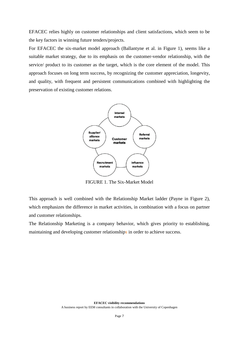EFACEC relies highly on customer relationships and client satisfactions, which seem to be the key factors in winning future tenders/projects.

For EFACEC the six-market model approach (Ballantyne et al. in Figure 1), seems like a suitable market strategy, due to its emphasis on the customer-vendor relationship, with the service/ product to its customer as the target, which is the core element of the model. This approach focuses on long term success, by recognizing the customer appreciation, longevity, and quality, with frequent and persistent communications combined with highlighting the preservation of existing customer relations.



FIGURE 1. The Six-Market Model

This approach is well combined with the Relationship Market ladder (Payne in Figure 2), which emphasizes the difference in market activities, in combination with a focus on partner and customer relationships.

The Relationship Marketing is a company behavior, which gives priority to establishing, maintaining and developing customer relationships in order to achieve success.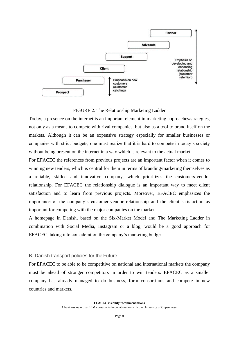

#### FIGURE 2. The Relationship Marketing Ladder

Today, a presence on the internet is an important element in marketing approaches/strategies, not only as a means to compete with rival companies, but also as a tool to brand itself on the markets. Although it can be an expensive strategy especially for smaller businesses or companies with strict budgets, one must realize that it is hard to compete in today's society without being present on the internet in a way which is relevant to the actual market.

For EFACEC the references from previous projects are an important factor when it comes to winning new tenders, which is central for them in terms of branding/marketing themselves as a reliable, skilled and innovative company, which prioritizes the customers-vendor relationship. For EFACEC the relationship dialogue is an important way to meet client satisfaction and to learn from previous projects. Moreover, EFACEC emphasizes the importance of the company's customer-vendor relationship and the client satisfaction as important for competing with the major companies on the market.

A homepage in Danish, based on the Six-Market Model and The Marketing Ladder in combination with Social Media, Instagram or a blog, would be a good approach for EFACEC, taking into consideration the company's marketing budget.

### <span id="page-8-0"></span>B. Danish transport policies for the Future

For EFACEC to be able to be competitive on national and international markets the company must be ahead of stronger competitors in order to win tenders. EFACEC as a smaller company has already managed to do business, form consortiums and compete in new countries and markets.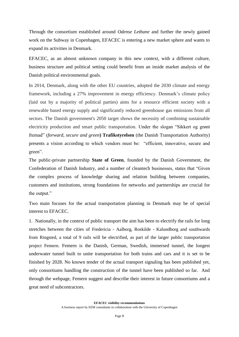Through the consortium established around *Odense Letbane* and further the newly gained work on the Subway in Copenhagen, EFACEC is entering a new market sphere and wants to expand its activities in Denmark.

EFACEC, as an almost unknown company in this new context, with a different culture, business structure and political setting could benefit from an inside market analysis of the Danish political environmental goals.

In 2014, Denmark, along with the other EU countries, adopted the 2030 climate and energy framework, including a 27% improvement in energy efficiency. Denmark's climate policy (laid out by a majority of political parties) aims for a resource efficient society with a renewable based energy supply and significantly reduced greenhouse gas emissions from all sectors. The Danish government's 2050 target shows the necessity of combining sustainable electricity production and smart public transportation. Under the slogan "Sikkert og grønt fremad" (*forward, secure and green***) Trafikstyrelsen** (the Danish Transportation Authority) presents a vision according to which vendors must be: "efficient, innovative, secure and green".

The public-private partnership **State of Green**, founded by the Danish Government, the Confederation of Danish Industry, and a number of cleantech businesses, states that "Given the complex process of knowledge sharing and relation building between companies, customers and institutions, strong foundations for networks and partnerships are crucial for the output."

Two main focuses for the actual transportation planning in Denmark may be of special interest to EFACEC.

1. Nationally, in the context of public transport the aim has been to electrify the rails for long stretches between the cities of Fredericia - Aalborg, Roskilde - Kalundborg and southwards from Ringsted, a total of 9 rails will be electrified, as part of the larger public transportation project Femern. Femern is the Danish, German, Swedish, immersed tunnel, the longest underwater tunnel built to unite transportation for both trains and cars and it is set to be finished by 2028. No known tender of the actual transport signaling has been published yet, only consortiums handling the construction of the tunnel have been published so far. And through the webpage, Femern suggest and describe their interest in future consortiums and a great need of subcontractors.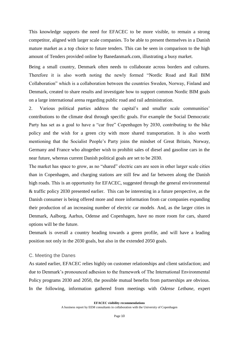This knowledge supports the need for EFACEC to be more visible, to remain a strong competitor, aligned with larger scale companies. To be able to present themselves in a Danish mature market as a top choice to future tenders. This can be seen in comparison to the high amount of Tenders provided online by Banedanmark.com, illustrating a busy market.

Being a small country, Denmark often needs to collaborate across borders and cultures. Therefore it is also worth noting the newly formed "Nordic Road and Rail BIM Collaboration" which is a collaboration between the countries Sweden, Norway, Finland and Denmark, created to share results and investigate how to support common Nordic BIM goals on a large international arena regarding public road and rail administration.

2. Various political parties address the capital's and smaller scale communities' contributions to the climate deal through specific goals. For example the Social Democratic Party has set as a goal to have a "car free" Copenhagen by 2030, contributing to the bike policy and the wish for a green city with more shared transportation. It is also worth mentioning that the Socialist People's Party joins the mindset of Great Britain, Norway, Germany and France who altogether wish to prohibit sales of diesel and gasoline cars in the near future, whereas current Danish political goals are set to be 2030.

The market has space to grow, as no "shared" electric cars are seen in other larger scale cities than in Copenhagen, and charging stations are still few and far between along the Danish high roads. This is an opportunity for EFACEC, suggested through the general environmental & traffic policy 2030 presented earlier. This can be interesting in a future perspective, as the Danish consumer is being offered more and more information from car companies expanding their production of an increasing number of electric car models. And, as the larger cities in Denmark, Aalborg, Aarhus, Odense and Copenhagen, have no more room for cars, shared options will be the future.

Denmark is overall a country heading towards a green profile, and will have a leading position not only in the 2030 goals, but also in the extended 2050 goals.

#### <span id="page-10-0"></span>C. Meeting the Danes

As stated earlier, EFACEC relies highly on customer relationships and client satisfaction; and due to Denmark's pronounced adhesion to the framework of The International Environmental Policy programs 2030 and 2050, the possible mutual benefits from partnerships are obvious. In the following, information gathered from meetings with *Odense Letbane,* expert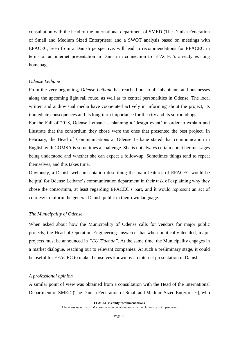consultation with the head of the international department of SMED (The Danish Federation of Small and Medium Sized Enterprises) and a SWOT analysis based on meetings with EFACEC, seen from a Danish perspective, will lead to recommendations for EFACEC in terms of an internet presentation in Danish in connection to EFACEC's already existing homepage.

#### *Odense Letbane*

From the very beginning, *Odense Letbane* has reached out to all inhabitants and businesses along the upcoming light rail route, as well as to central personalities in Odense. The local written and audiovisual media have cooperated actively in informing about the project, its immediate consequences and its long-term importance for the city and its surroundings.

For the Fall of 2018, Odense Letbane is planning a 'design event' in order to explain and illustrate that the consortium they chose were the ones that presented the best project. In February, the Head of Communications at Odense Letbane stated that communication in English with COMSA is sometimes a challenge. She is not always certain about her messages being understood and whether she can expect a follow-up. Sometimes things tend to repeat themselves, and this takes time.

Obviously, a Danish web presentation describing the main features of EFACEC would be helpful for Odense Letbane's communication department in their task of explaining why they chose the consortium, at least regarding EFACEC's part, and it would represent an act of courtesy to inform the general Danish public in their own language.

#### *The Municipality of Odense*

When asked about how the Municipality of Odense calls for vendors for major public projects, the Head of Operation Engineering answered that when politically decided, major projects must be announced in *"EU Tidende"*. At the same time, the Municipality engages in a market dialogue, reaching out to relevant companies. At such a preliminary stage, it could be useful for EFACEC to make themselves known by an internet presentation in Danish.

#### *A professional opinion*

A similar point of view was obtained from a consultation with the Head of the International Department of SMED (The Danish Federation of Small and Medium Sized Enterprises), who

**EFACEC visibility recommendations**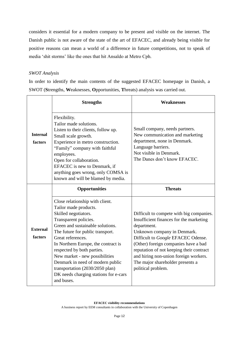considers it essential for a modern company to be present and visible on the internet. The Danish public is not aware of the state of the art of EFACEC, and already being visible for positive reasons can mean a world of a difference in future competitions, not to speak of media 'shit storms' like the ones that hit Ansaldo at Metro Cph.

### *SWOT Analysis*

In order to identify the main contents of the suggested EFACEC homepage in Danish, a SWOT (**S**trengths, **W**eaknesses, **O**pportunities, **T**hreats) analysis was carried out.

|                            | <b>Strengths</b>                                                                                                                                                                                                                                                                                                                                                                                                                            | <b>Weaknesses</b>                                                                                                                                                                                                                                                                                                                                              |
|----------------------------|---------------------------------------------------------------------------------------------------------------------------------------------------------------------------------------------------------------------------------------------------------------------------------------------------------------------------------------------------------------------------------------------------------------------------------------------|----------------------------------------------------------------------------------------------------------------------------------------------------------------------------------------------------------------------------------------------------------------------------------------------------------------------------------------------------------------|
| <b>Internal</b><br>factors | Flexibility.<br>Tailor made solutions.<br>Listen to their clients, follow up.<br>Small scale growth.<br>Experience in metro construction.<br>"Family" company with faithful<br>employees.<br>Open for collaboration.<br>EFACEC is new to Denmark, if<br>anything goes wrong, only COMSA is<br>known and will be blamed by media.                                                                                                            | Small company, needs partners.<br>New communication and marketing<br>department, none in Denmark.<br>Language barriers.<br>Not visible in Denmark.<br>The Danes don't know EFACEC.                                                                                                                                                                             |
| <b>External</b><br>factors | <b>Opportunities</b>                                                                                                                                                                                                                                                                                                                                                                                                                        | <b>Threats</b>                                                                                                                                                                                                                                                                                                                                                 |
|                            | Close relationship with client.<br>Tailor made products.<br>Skilled negotiators.<br>Transparent policies.<br>Green and sustainable solutions.<br>The future for public transport.<br>Great references.<br>In Northern Europe, the contract is<br>respected by both parties.<br>New market - new possibilities<br>Denmark in need of modern public<br>transportation (2030/2050 plan)<br>DK needs charging stations for e-cars<br>and buses. | Difficult to compete with big companies.<br>Insufficient finances for the marketing<br>department.<br>Unknown company in Denmark.<br>Difficult to Google EFACEC Odense.<br>(Other) foreign companies have a bad<br>reputation of not keeping their contract<br>and hiring non-union foreign workers.<br>The major shareholder presents a<br>political problem. |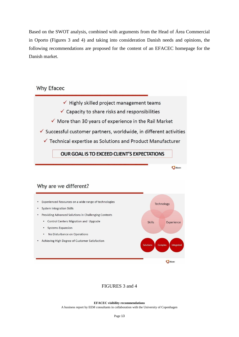Based on the SWOT analysis, combined with arguments from the Head of Área Commercial in Oporto (Figures 3 and 4) and taking into consideration Danish needs and opinions, the following recommendations are proposed for the content of an EFACEC homepage for the Danish market.

# **Why Efacec**



### Why are we different?



### FIGURES 3 and 4

#### **EFACEC visibility recommendations**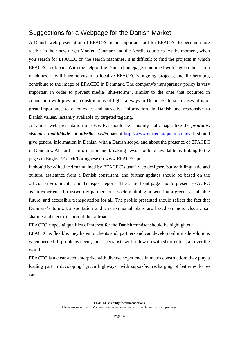# <span id="page-14-0"></span>Suggestions for a Webpage for the Danish Market

A Danish web presentation of EFACEC is an important tool for EFACEC to become more visible in their new target Market, Denmark and the Nordic countries. At the moment, when you search for EFACEC on the search machines, it is difficult to find the projects in which EFACEC took part. With the help of the Danish homepage, combined with tags on the search machines, it will become easier to localize EFACEC's ongoing projects, and furthermore, contribute to the image of EFACEC in Denmark. The company's transparency policy is very important in order to prevent media "shit-storms", similar to the ones that occurred in connection with previous constructions of light railways in Denmark. In such cases, it is of great importance to offer exact and attractive information, in Danish and responsive to Danish values, instantly available by targeted tagging.

A Danish web presentation of EFACEC should be a mainly static page, like the *produtos, sistemas, mobilidade* and *missão - visão* part of [http://www.efacec.pt/quem-somos.](http://www.efacec.pt/quem-somos) It should give general information in Danish, with a Danish scope, and about the presence of EFACEC in Denmark. All further information and breaking news should be available by linking to the pages in English/French/Portuguese on [www.EFACEC.pt.](http://www.efacec.pt/)

It should be edited and maintained by EFACEC's usual web designer, but with linguistic and cultural assistance from a Danish consultant, and further updates should be based on the official Environmental and Transport reports. The static front page should present EFACEC as an experienced, trustworthy partner for a society aiming at securing a green, sustainable future, and accessible transportation for all. The profile presented should reflect the fact that Denmark's future transportation and environmental plans are based on more electric car sharing and electrification of the railroads.

EFACEC's special qualities of interest for the Danish mindset should be highlighted:

EFACEC is flexible, they listen to clients and, partners and can develop tailor made solutions when needed. If problems occur, their specialists will follow up with short notice, all over the world.

EFACEC is a clean-tech enterprise with diverse experience in metro construction; they play a leading part in developing "green highways" with super-fast recharging of batteries for ecars.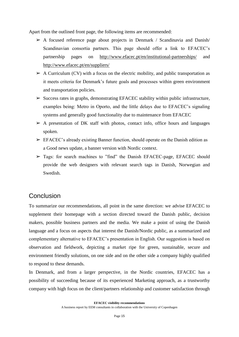Apart from the outlined front page, the following items are recommended:

- $\triangleright$  A focused reference page about projects in Denmark / Scandinavia and Danish Scandinavian consortia partners. This page should offer a link to EFACEC's partnership pages on <http://www.efacec.pt/en/institutional-partnerships/> and <http://www.efacec.pt/en/suppliers/>
- $\triangleright$  A Curriculum (CV) with a focus on the electric mobility, and public transportation as it meets criteria for Denmark's future goals and processes within green environment and transportation policies.
- $\triangleright$  Success rates in graphs, demonstrating EFACEC stability within public infrastructure, examples being: Metro in Oporto, and the little delays due to EFACEC's signaling systems and generally good functionality due to maintenance from EFACEC
- $\triangleright$  A presentation of DK staff with photos, contact info, office hours and languages spoken.
- $\triangleright$  EFACEC's already existing Banner function, should operate on the Danish edition as a Good news update, a banner version with Nordic context.
- $\triangleright$  Tags: for search machines to "find" the Danish EFACEC-page, EFACEC should provide the web designers with relevant search tags in Danish, Norwegian and Swedish.

### <span id="page-15-0"></span>**Conclusion**

To summarize our recommendations, all point in the same direction: we advise EFACEC to supplement their homepage with a section directed toward the Danish public, decision makers, possible business partners and the media. We make a point of using the Danish language and a focus on aspects that interest the Danish/Nordic public, as a summarized and complementary alternative to EFACEC's presentation in English. Our suggestion is based on observation and fieldwork, depicting a market ripe for green, sustainable, secure and environment friendly solutions, on one side and on the other side a company highly qualified to respond to these demands.

In Denmark, and from a larger perspective, in the Nordic countries, EFACEC has a possibility of succeeding because of its experienced Marketing approach, as a trustworthy company with high focus on the client/partners relationship and customer satisfaction through